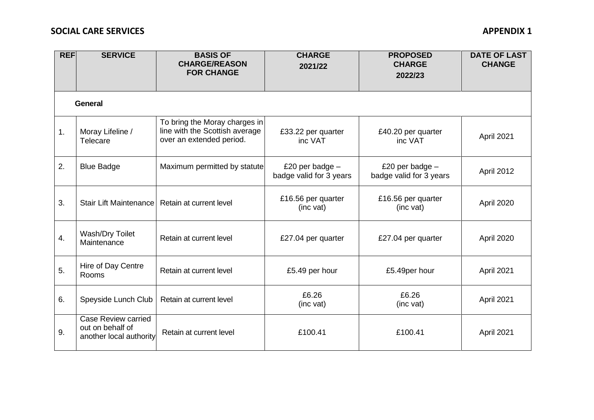## **SOCIAL CARE SERVICES** APPENDIX 1

| <b>REF</b> | <b>SERVICE</b>                                                            | <b>BASIS OF</b><br><b>CHARGE/REASON</b><br><b>FOR CHANGE</b>                                | <b>CHARGE</b><br>2021/22                     | <b>PROPOSED</b><br><b>CHARGE</b><br>2022/23  | <b>DATE OF LAST</b><br><b>CHANGE</b> |  |  |  |  |
|------------|---------------------------------------------------------------------------|---------------------------------------------------------------------------------------------|----------------------------------------------|----------------------------------------------|--------------------------------------|--|--|--|--|
| General    |                                                                           |                                                                                             |                                              |                                              |                                      |  |  |  |  |
| 1.         | Moray Lifeline /<br>Telecare                                              | To bring the Moray charges in<br>line with the Scottish average<br>over an extended period. | £33.22 per quarter<br>inc VAT                | £40.20 per quarter<br>inc VAT                | April 2021                           |  |  |  |  |
| 2.         | <b>Blue Badge</b>                                                         | Maximum permitted by statute                                                                | £20 per badge $-$<br>badge valid for 3 years | £20 per badge $-$<br>badge valid for 3 years | April 2012                           |  |  |  |  |
| 3.         | <b>Stair Lift Maintenance</b>                                             | Retain at current level                                                                     | £16.56 per quarter<br>(inc vat)              | £16.56 per quarter<br>(inc vat)              | April 2020                           |  |  |  |  |
| 4.         | Wash/Dry Toilet<br>Maintenance                                            | Retain at current level                                                                     | £27.04 per quarter                           | £27.04 per quarter                           | April 2020                           |  |  |  |  |
| 5.         | Hire of Day Centre<br>Rooms                                               | Retain at current level                                                                     | £5.49 per hour                               | £5.49per hour                                | April 2021                           |  |  |  |  |
| 6.         | Speyside Lunch Club                                                       | Retain at current level                                                                     | £6.26<br>(inc vat)                           | £6.26<br>(inc vat)                           | April 2021                           |  |  |  |  |
| 9.         | <b>Case Review carried</b><br>out on behalf of<br>another local authority | Retain at current level                                                                     | £100.41                                      | £100.41                                      | April 2021                           |  |  |  |  |